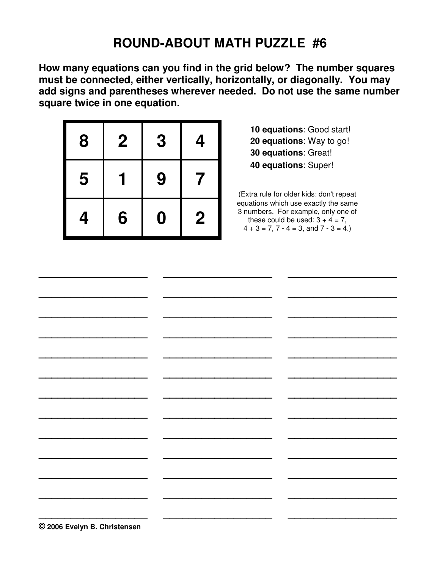## **ROUND-ABOUT MATH PUZZLE #6**

**How many equations can you find in the grid below? The number squares must be connected, either vertically, horizontally, or diagonally. You may add signs and parentheses wherever needed. Do not use the same number square twice in one equation.** 

| 8 | $\mathbf 2$ | 3                | 4                |
|---|-------------|------------------|------------------|
| 5 |             | 9                | 7                |
| 4 | 6           | $\boldsymbol{0}$ | $\boldsymbol{2}$ |

 **10 equations**: Good start! **20 equations**: Way to go! **30 equations**: Great!  **40 equations**: Super!

(Extra rule for older kids: don't repeat equations which use exactly the same 3 numbers. For example, only one of these could be used:  $3 + 4 = 7$ .  $4 + 3 = 7$ ,  $7 - 4 = 3$ , and  $7 - 3 = 4$ .

| © 2006 Evelyn B. Christensen |  |
|------------------------------|--|

**\_\_\_\_\_\_\_\_\_\_\_\_\_\_\_\_\_ \_\_\_\_\_\_\_\_\_\_\_\_\_\_\_\_\_ \_\_\_\_\_\_\_\_\_\_\_\_\_\_\_\_\_**